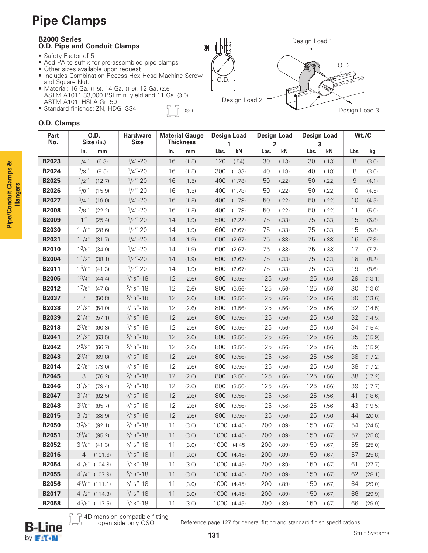## **Pipe Clamps**



## **O.D. Clamps**

**Pipe/Conduit Clamps & Hangers**

Pipe/Conduit Clamps &

| Part<br>No.  | O.D.<br>Size (in.)            | <b>Hardware</b><br><b>Size</b> | <b>Material Gauge</b><br><b>Thickness</b> |       | <b>Design Load</b><br>1 |             | <b>Design Load</b><br>2 |       | <b>Design Load</b><br>3 |       | Wt./C |        |
|--------------|-------------------------------|--------------------------------|-------------------------------------------|-------|-------------------------|-------------|-------------------------|-------|-------------------------|-------|-------|--------|
|              | In.<br>mm                     |                                | In                                        | mm    | Lbs.                    | kN          | Lbs.                    | kN    | Lbs.                    | kN    | Lbs.  | kg     |
| B2023        | $1/4$ "<br>(6.3)              | $1/4 - 20$                     | 16                                        | (1.5) | 120                     | (.54)       | 30                      | (.13) | 30                      | (.13) | 8     | (3.6)  |
| B2024        | 3/8"<br>(9.5)                 | $1/4$ "-20                     | 16                                        | (1.5) | 300                     | (1.33)      | 40                      | (.18) | 40                      | (.18) | 8     | (3.6)  |
| <b>B2025</b> | $1/2$ "<br>(12.7)             | $1/4$ "-20                     | 16                                        | (1.5) | 400                     | (1.78)      | 50                      | (.22) | 50                      | (.22) | 9     | (4.1)  |
| <b>B2026</b> | $5/8$ "<br>(15.9)             | $1/4$ "-20                     | 16                                        | (1.5) | 400                     | (1.78)      | 50                      | (.22) | 50                      | (.22) | 10    | (4.5)  |
| B2027        | $3/4$ "<br>(19.0)             | $1/4 - 20$                     | 16                                        | (1.5) | 400                     | (1.78)      | 50                      | (.22) | 50                      | (.22) | 10    | (4.5)  |
| <b>B2008</b> | $^{7}/8"$<br>(22.2)           | $1/4$ "-20                     | 16                                        | (1.5) | 400                     | (1.78)      | 50                      | (.22) | 50                      | (.22) | 11    | (5.0)  |
| <b>B2009</b> | 1 <sup>''</sup><br>(25.4)     | $1/4 - 20$                     | 14                                        | (1.9) | 500                     | (2.22)      | 75                      | (.33) | 75                      | (.33) | 15    | (6.8)  |
| <b>B2030</b> | 11/8"<br>(28.6)               | $1/4$ "-20                     | 14                                        | (1.9) | 600                     | (2.67)      | 75                      | (.33) | 75                      | (.33) | 15    | (6.8)  |
| B2031        | 11/4"<br>(31.7)               | $1/4$ "-20                     | 14                                        | (1.9) | 600                     | (2.67)      | 75                      | (.33) | 75                      | (.33) | 16    | (7.3)  |
| <b>B2010</b> | $1^{3}/8"$<br>(34.9)          | $1/4 - 20$                     | 14                                        | (1.9) | 600                     | (2.67)      | 75                      | (.33) | 75                      | (.33) | 17    | (7.7)  |
| <b>B2004</b> | 1 <sup>1</sup> /2''<br>(38.1) | $1/4 - 20$                     | 14                                        | (1.9) | 600                     | (2.67)      | 75                      | (.33) | 75                      | (.33) | 18    | (8.2)  |
| B2011        | 1 <sup>5</sup> /8"<br>(41.3)  | $1/4 - 20$                     | 14                                        | (1.9) | 600                     | (2.67)      | 75                      | (.33) | 75                      | (.33) | 19    | (8.6)  |
| <b>B2005</b> | $1^{3}/4$ "<br>(44.4)         | $5/16$ "-18                    | 12                                        | (2.6) | 800                     | (3.56)      | 125                     | (.56) | 125                     | (.56) | 29    | (13.1) |
| B2012        | $1^{7}/8"$<br>(47.6)          | $5/16" - 18$                   | 12                                        | (2.6) | 800                     | (3.56)      | 125                     | (.56) | 125                     | (.56) | 30    | (13.6) |
| B2037        | $\overline{2}$<br>(50.8)      | $5/16$ "-18                    | 12                                        | (2.6) | 800                     | (3.56)      | 125                     | (.56) | 125                     | (.56) | 30    | (13.6) |
| <b>B2038</b> | $2^{1}/8"$<br>(54.0)          | $5/16" - 18$                   | 12                                        | (2.6) | 800                     | (3.56)      | 125                     | (.56) | 125                     | (.56) | 32    | (14.5) |
| <b>B2039</b> | $2^{1}/4$ "<br>(57.1)         | $5/16$ "-18                    | 12                                        | (2.6) | 800                     | (3.56)      | 125                     | (.56) | 125                     | (.56) | 32    | (14.5) |
| B2013        | $2^{3}/8"$<br>(60.3)          | $5/16" - 18$                   | 12                                        | (2.6) | 800                     | (3.56)      | 125                     | (.56) | 125                     | (.56) | 34    | (15.4) |
| B2041        | $2^{1}/2$ "<br>(63.5)         | $5/16$ "-18                    | 12                                        | (2.6) | 800                     | (3.56)      | 125                     | (.56) | 125                     | (.56) | 35    | (15.9) |
| B2042        | $2^{5}/8"$<br>(66.7)          | $5/16" - 18$                   | 12                                        | (2.6) | 800                     | (3.56)      | 125                     | (.56) | 125                     | (.56) | 35    | (15.9) |
| B2043        | $2^{3}/4$ "<br>(69.8)         | $5/16$ "-18                    | 12                                        | (2.6) | 800                     | (3.56)      | 125                     | (.56) | 125                     | (.56) | 38    | (17.2) |
| B2014        | $2^{7}/8"$<br>(73.0)          | $5/16" - 18$                   | 12                                        | (2.6) | 800                     | (3.56)      | 125                     | (.56) | 125                     | (.56) | 38    | (17.2) |
| <b>B2045</b> | 3<br>(76.2)                   | $5/16" - 18$                   | 12                                        | (2.6) | 800                     | (3.56)      | 125                     | (.56) | 125                     | (.56) | 38    | (17.2) |
| <b>B2046</b> | $3^{1}/8$ "<br>(79.4)         | $5/16" - 18$                   | 12                                        | (2.6) | 800                     | (3.56)      | 125                     | (.56) | 125                     | (.56) | 39    | (17.7) |
| <b>B2047</b> | $3^{1}/4$ "<br>(82.5)         | $5/16'' - 18$                  | 12                                        | (2.6) | 800                     | (3.56)      | 125                     | (.56) | 125                     | (.56) | 41    | (18.6) |
| <b>B2048</b> | $3^{3}/8"$<br>(85.7)          | $5/16" - 18$                   | 12                                        | (2.6) | 800                     | (3.56)      | 125                     | (.56) | 125                     | (.56) | 43    | (19.5) |
| <b>B2015</b> | $3^{1}/2$ "<br>(88.9)         | $5/16$ "-18                    | 12                                        | (2.6) | 800                     | (3.56)      | 125                     | (.56) | 125                     | (.56) | 44    | (20.0) |
| <b>B2050</b> | $3^{5}/8"$<br>(92.1)          | $5/16" - 18$                   | 11                                        | (3.0) | 1000                    | (4.45)      | 200                     | (.89) | 150                     | (.67) | 54    | (24.5) |
| <b>B2051</b> | $3^3/4''$ (95.2)              | $5/16" - 18$                   | 11                                        | (3.0) |                         | 1000 (4.45) | 200                     | (.89) | 150                     | (.67) | 57    | (25.8) |
| B2052        | $3^{7}/8"$ (41.3)             | $5/16" - 18$                   | 11                                        | (3.0) | 1000 (4.45              |             | 200                     | (.89) | 150                     | (.67) | 55    | (25.0) |
| <b>B2016</b> | 4<br>(101.6)                  | $5/16" - 18$                   | 11                                        | (3.0) |                         | 1000 (4.45) | 200                     | (.89) | 150                     | (.67) | 57    | (25.8) |
| <b>B2054</b> | $4^{1}/8"$ (104.8)            | $5/16" - 18$                   | 11                                        | (3.0) |                         | 1000 (4.45) | 200                     | (.89) | 150                     | (.67) | 61    | (27.7) |
| <b>B2055</b> | $4^{1}/4''$ (107.9)           | $5/16" - 18$                   | 11                                        | (3.0) |                         | 1000 (4.45) | 200                     | (.89) | 150                     | (.67) | 62    | (28.1) |
| <b>B2056</b> | $4^3/8$ " (111.1)             | $5/16" - 18$                   | 11                                        | (3.0) |                         | 1000 (4.45) | 200                     | (.89) | 150                     | (.67) | 64    | (29.0) |
| B2017        | $4^{1}/2$ " (114.3)           | $5/16" - 18$                   | 11                                        | (3.0) |                         | 1000 (4.45) | 200                     | (.89) | 150                     | (.67) | 66    | (29.9) |
| <b>B2058</b> | $45/8"$ (117.5)               | $5/16" - 18$                   | 11                                        | (3.0) |                         | 1000 (4.45) | 200                     | (.89) | 150                     | (.67) | 66    | (29.9) |

4Dimension compatible fitting open side only OSO



Reference page 127 for general fitting and standard finish specifications.